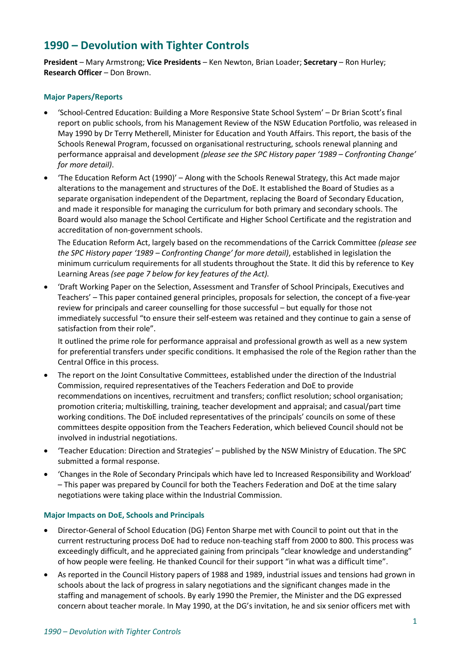# **1990 – Devolution with Tighter Controls**

**President** – Mary Armstrong; **Vice Presidents** – Ken Newton, Brian Loader; **Secretary** – Ron Hurley; **Research Officer** – Don Brown.

# **Major Papers/Reports**

- 'School-Centred Education: Building a More Responsive State School System' Dr Brian Scott's final report on public schools, from his Management Review of the NSW Education Portfolio, was released in May 1990 by Dr Terry Metherell, Minister for Education and Youth Affairs. This report, the basis of the Schools Renewal Program, focussed on organisational restructuring, schools renewal planning and performance appraisal and development *(please see the SPC History paper '1989 – Confronting Change' for more detail)*.
- 'The Education Reform Act (1990)' Along with the Schools Renewal Strategy, this Act made major alterations to the management and structures of the DoE. It established the Board of Studies as a separate organisation independent of the Department, replacing the Board of Secondary Education, and made it responsible for managing the curriculum for both primary and secondary schools. The Board would also manage the School Certificate and Higher School Certificate and the registration and accreditation of non-government schools.

The Education Reform Act, largely based on the recommendations of the Carrick Committee *(please see the SPC History paper '1989 – Confronting Change' for more detail)*, established in legislation the minimum curriculum requirements for all students throughout the State. It did this by reference to Key Learning Areas *(see page 7 below for key features of the Act).*

• 'Draft Working Paper on the Selection, Assessment and Transfer of School Principals, Executives and Teachers' – This paper contained general principles, proposals for selection, the concept of a five-year review for principals and career counselling for those successful – but equally for those not immediately successful "to ensure their self-esteem was retained and they continue to gain a sense of satisfaction from their role".

It outlined the prime role for performance appraisal and professional growth as well as a new system for preferential transfers under specific conditions. It emphasised the role of the Region rather than the Central Office in this process.

- The report on the Joint Consultative Committee*s*, established under the direction of the Industrial Commission, required representatives of the Teachers Federation and DoE to provide recommendations on incentives, recruitment and transfers; conflict resolution; school organisation; promotion criteria; multiskilling, training, teacher development and appraisal; and casual/part time working conditions. The DoE included representatives of the principals' councils on some of these committees despite opposition from the Teachers Federation, which believed Council should not be involved in industrial negotiations.
- 'Teacher Education: Direction and Strategies' published by the NSW Ministry of Education. The SPC submitted a formal response.
- 'Changes in the Role of Secondary Principals which have led to Increased Responsibility and Workload' – This paper was prepared by Council for both the Teachers Federation and DoE at the time salary negotiations were taking place within the Industrial Commission.

### **Major Impacts on DoE, Schools and Principals**

- Director-General of School Education (DG) Fenton Sharpe met with Council to point out that in the current restructuring process DoE had to reduce non-teaching staff from 2000 to 800. This process was exceedingly difficult, and he appreciated gaining from principals "clear knowledge and understanding" of how people were feeling. He thanked Council for their support "in what was a difficult time".
- As reported in the Council History papers of 1988 and 1989, industrial issues and tensions had grown in schools about the lack of progress in salary negotiations and the significant changes made in the staffing and management of schools. By early 1990 the Premier, the Minister and the DG expressed concern about teacher morale. In May 1990, at the DG's invitation, he and six senior officers met with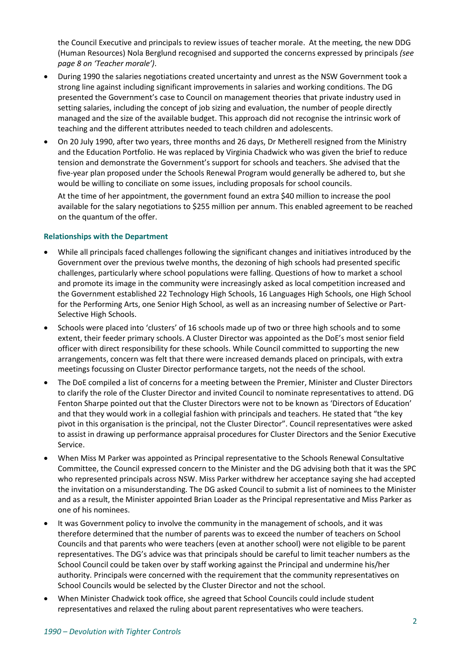the Council Executive and principals to review issues of teacher morale. At the meeting, the new DDG (Human Resources) Nola Berglund recognised and supported the concerns expressed by principals *(see page 8 on 'Teacher morale')*.

- During 1990 the salaries negotiations created uncertainty and unrest as the NSW Government took a strong line against including significant improvements in salaries and working conditions. The DG presented the Government's case to Council on management theories that private industry used in setting salaries, including the concept of job sizing and evaluation, the number of people directly managed and the size of the available budget. This approach did not recognise the intrinsic work of teaching and the different attributes needed to teach children and adolescents.
- On 20 July 1990, after two years, three months and 26 days, Dr Metherell resigned from the Ministry and the Education Portfolio. He was replaced by Virginia Chadwick who was given the brief to reduce tension and demonstrate the Government's support for schools and teachers. She advised that the five-year plan proposed under the Schools Renewal Program would generally be adhered to, but she would be willing to conciliate on some issues, including proposals for school councils.

At the time of her appointment, the government found an extra \$40 million to increase the pool available for the salary negotiations to \$255 million per annum. This enabled agreement to be reached on the quantum of the offer.

# **Relationships with the Department**

- While all principals faced challenges following the significant changes and initiatives introduced by the Government over the previous twelve months, the dezoning of high schools had presented specific challenges, particularly where school populations were falling. Questions of how to market a school and promote its image in the community were increasingly asked as local competition increased and the Government established 22 Technology High Schools, 16 Languages High Schools, one High School for the Performing Arts, one Senior High School, as well as an increasing number of Selective or Part-Selective High Schools.
- Schools were placed into 'clusters' of 16 schools made up of two or three high schools and to some extent, their feeder primary schools. A Cluster Director was appointed as the DoE's most senior field officer with direct responsibility for these schools. While Council committed to supporting the new arrangements, concern was felt that there were increased demands placed on principals, with extra meetings focussing on Cluster Director performance targets, not the needs of the school.
- The DoE compiled a list of concerns for a meeting between the Premier, Minister and Cluster Directors to clarify the role of the Cluster Director and invited Council to nominate representatives to attend. DG Fenton Sharpe pointed out that the Cluster Directors were not to be known as 'Directors of Education' and that they would work in a collegial fashion with principals and teachers. He stated that "the key pivot in this organisation is the principal, not the Cluster Director". Council representatives were asked to assist in drawing up performance appraisal procedures for Cluster Directors and the Senior Executive Service.
- When Miss M Parker was appointed as Principal representative to the Schools Renewal Consultative Committee, the Council expressed concern to the Minister and the DG advising both that it was the SPC who represented principals across NSW. Miss Parker withdrew her acceptance saying she had accepted the invitation on a misunderstanding. The DG asked Council to submit a list of nominees to the Minister and as a result, the Minister appointed Brian Loader as the Principal representative and Miss Parker as one of his nominees.
- It was Government policy to involve the community in the management of schools, and it was therefore determined that the number of parents was to exceed the number of teachers on School Councils and that parents who were teachers (even at another school) were not eligible to be parent representatives. The DG's advice was that principals should be careful to limit teacher numbers as the School Council could be taken over by staff working against the Principal and undermine his/her authority. Principals were concerned with the requirement that the community representatives on School Councils would be selected by the Cluster Director and not the school.
- When Minister Chadwick took office, she agreed that School Councils could include student representatives and relaxed the ruling about parent representatives who were teachers.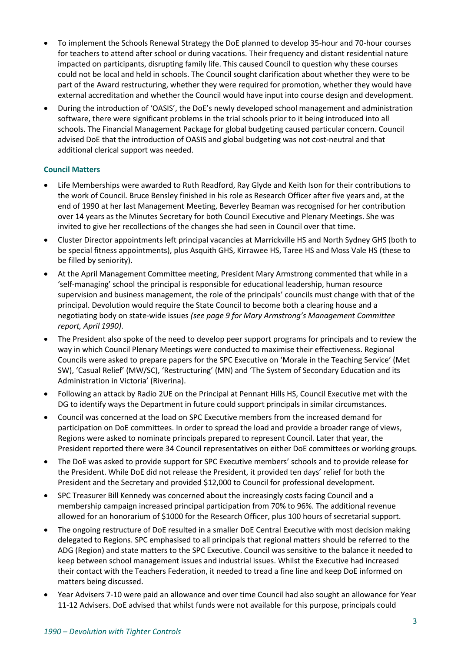- To implement the Schools Renewal Strategy the DoE planned to develop 35-hour and 70-hour courses for teachers to attend after school or during vacations. Their frequency and distant residential nature impacted on participants, disrupting family life. This caused Council to question why these courses could not be local and held in schools. The Council sought clarification about whether they were to be part of the Award restructuring, whether they were required for promotion, whether they would have external accreditation and whether the Council would have input into course design and development.
- During the introduction of 'OASIS', the DoE's newly developed school management and administration software, there were significant problems in the trial schools prior to it being introduced into all schools. The Financial Management Package for global budgeting caused particular concern. Council advised DoE that the introduction of OASIS and global budgeting was not cost-neutral and that additional clerical support was needed.

# **Council Matters**

- Life Memberships were awarded to Ruth Readford, Ray Glyde and Keith Ison for their contributions to the work of Council. Bruce Bensley finished in his role as Research Officer after five years and, at the end of 1990 at her last Management Meeting, Beverley Beaman was recognised for her contribution over 14 years as the Minutes Secretary for both Council Executive and Plenary Meetings. She was invited to give her recollections of the changes she had seen in Council over that time.
- Cluster Director appointments left principal vacancies at Marrickville HS and North Sydney GHS (both to be special fitness appointments), plus Asquith GHS, Kirrawee HS, Taree HS and Moss Vale HS (these to be filled by seniority).
- At the April Management Committee meeting, President Mary Armstrong commented that while in a 'self-managing' school the principal is responsible for educational leadership, human resource supervision and business management, the role of the principals' councils must change with that of the principal. Devolution would require the State Council to become both a clearing house and a negotiating body on state-wide issues *(see page 9 for Mary Armstrong's Management Committee report, April 1990)*.
- The President also spoke of the need to develop peer support programs for principals and to review the way in which Council Plenary Meetings were conducted to maximise their effectiveness. Regional Councils were asked to prepare papers for the SPC Executive on 'Morale in the Teaching Service' (Met SW), 'Casual Relief' (MW/SC), 'Restructuring' (MN) and 'The System of Secondary Education and its Administration in Victoria' (Riverina).
- Following an attack by Radio 2UE on the Principal at Pennant Hills HS, Council Executive met with the DG to identify ways the Department in future could support principals in similar circumstances.
- Council was concerned at the load on SPC Executive members from the increased demand for participation on DoE committees. In order to spread the load and provide a broader range of views, Regions were asked to nominate principals prepared to represent Council. Later that year, the President reported there were 34 Council representatives on either DoE committees or working groups.
- The DoE was asked to provide support for SPC Executive members' schools and to provide release for the President. While DoE did not release the President, it provided ten days' relief for both the President and the Secretary and provided \$12,000 to Council for professional development.
- SPC Treasurer Bill Kennedy was concerned about the increasingly costs facing Council and a membership campaign increased principal participation from 70% to 96%. The additional revenue allowed for an honorarium of \$1000 for the Research Officer, plus 100 hours of secretarial support.
- The ongoing restructure of DoE resulted in a smaller DoE Central Executive with most decision making delegated to Regions. SPC emphasised to all principals that regional matters should be referred to the ADG (Region) and state matters to the SPC Executive. Council was sensitive to the balance it needed to keep between school management issues and industrial issues. Whilst the Executive had increased their contact with the Teachers Federation, it needed to tread a fine line and keep DoE informed on matters being discussed.
- Year Advisers 7-10 were paid an allowance and over time Council had also sought an allowance for Year 11-12 Advisers. DoE advised that whilst funds were not available for this purpose, principals could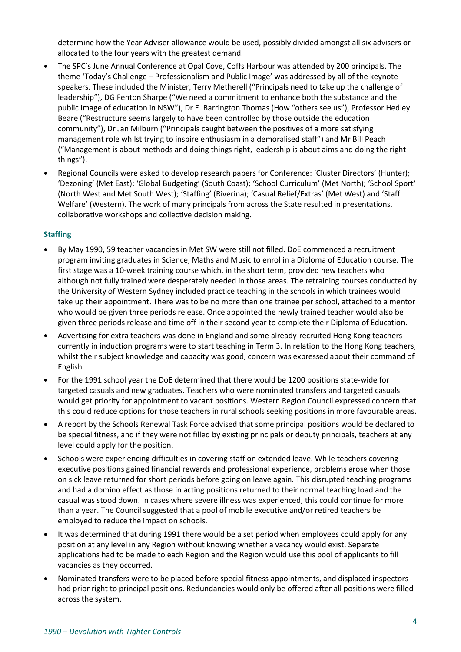determine how the Year Adviser allowance would be used, possibly divided amongst all six advisers or allocated to the four years with the greatest demand.

- The SPC's June Annual Conference at Opal Cove, Coffs Harbour was attended by 200 principals. The theme 'Today's Challenge – Professionalism and Public Image' was addressed by all of the keynote speakers. These included the Minister, Terry Metherell ("Principals need to take up the challenge of leadership"), DG Fenton Sharpe ("We need a commitment to enhance both the substance and the public image of education in NSW"), Dr E. Barrington Thomas (How "others see us"), Professor Hedley Beare ("Restructure seems largely to have been controlled by those outside the education community"), Dr Jan Milburn ("Principals caught between the positives of a more satisfying management role whilst trying to inspire enthusiasm in a demoralised staff") and Mr Bill Peach ("Management is about methods and doing things right, leadership is about aims and doing the right things").
- Regional Councils were asked to develop research papers for Conference: 'Cluster Directors' (Hunter); 'Dezoning' (Met East); 'Global Budgeting' (South Coast); 'School Curriculum' (Met North); 'School Sport' (North West and Met South West); 'Staffing' (Riverina); 'Casual Relief/Extras' (Met West) and 'Staff Welfare' (Western). The work of many principals from across the State resulted in presentations, collaborative workshops and collective decision making.

# **Staffing**

- By May 1990, 59 teacher vacancies in Met SW were still not filled. DoE commenced a recruitment program inviting graduates in Science, Maths and Music to enrol in a Diploma of Education course. The first stage was a 10-week training course which, in the short term, provided new teachers who although not fully trained were desperately needed in those areas. The retraining courses conducted by the University of Western Sydney included practice teaching in the schools in which trainees would take up their appointment. There was to be no more than one trainee per school, attached to a mentor who would be given three periods release. Once appointed the newly trained teacher would also be given three periods release and time off in their second year to complete their Diploma of Education.
- Advertising for extra teachers was done in England and some already-recruited Hong Kong teachers currently in induction programs were to start teaching in Term 3. In relation to the Hong Kong teachers, whilst their subject knowledge and capacity was good, concern was expressed about their command of English.
- For the 1991 school year the DoE determined that there would be 1200 positions state-wide for targeted casuals and new graduates. Teachers who were nominated transfers and targeted casuals would get priority for appointment to vacant positions. Western Region Council expressed concern that this could reduce options for those teachers in rural schools seeking positions in more favourable areas.
- A report by the Schools Renewal Task Force advised that some principal positions would be declared to be special fitness, and if they were not filled by existing principals or deputy principals, teachers at any level could apply for the position.
- Schools were experiencing difficulties in covering staff on extended leave. While teachers covering executive positions gained financial rewards and professional experience, problems arose when those on sick leave returned for short periods before going on leave again. This disrupted teaching programs and had a domino effect as those in acting positions returned to their normal teaching load and the casual was stood down. In cases where severe illness was experienced, this could continue for more than a year. The Council suggested that a pool of mobile executive and/or retired teachers be employed to reduce the impact on schools.
- It was determined that during 1991 there would be a set period when employees could apply for any position at any level in any Region without knowing whether a vacancy would exist. Separate applications had to be made to each Region and the Region would use this pool of applicants to fill vacancies as they occurred.
- Nominated transfers were to be placed before special fitness appointments, and displaced inspectors had prior right to principal positions. Redundancies would only be offered after all positions were filled across the system.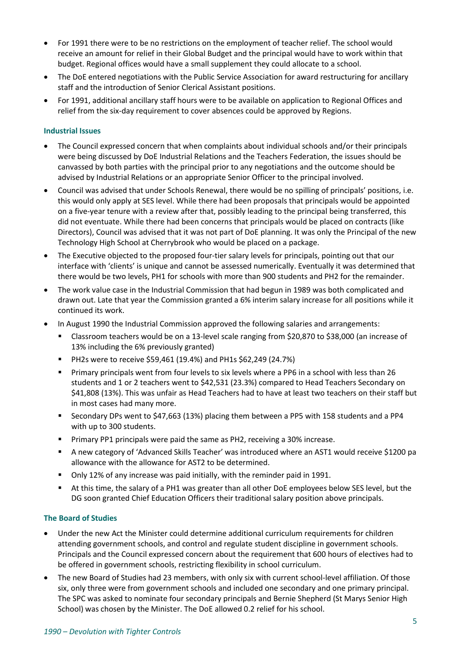- For 1991 there were to be no restrictions on the employment of teacher relief. The school would receive an amount for relief in their Global Budget and the principal would have to work within that budget. Regional offices would have a small supplement they could allocate to a school.
- The DoE entered negotiations with the Public Service Association for award restructuring for ancillary staff and the introduction of Senior Clerical Assistant positions.
- For 1991, additional ancillary staff hours were to be available on application to Regional Offices and relief from the six-day requirement to cover absences could be approved by Regions.

## **Industrial Issues**

- The Council expressed concern that when complaints about individual schools and/or their principals were being discussed by DoE Industrial Relations and the Teachers Federation, the issues should be canvassed by both parties with the principal prior to any negotiations and the outcome should be advised by Industrial Relations or an appropriate Senior Officer to the principal involved.
- Council was advised that under Schools Renewal, there would be no spilling of principals' positions, i.e. this would only apply at SES level. While there had been proposals that principals would be appointed on a five-year tenure with a review after that, possibly leading to the principal being transferred, this did not eventuate. While there had been concerns that principals would be placed on contracts (like Directors), Council was advised that it was not part of DoE planning. It was only the Principal of the new Technology High School at Cherrybrook who would be placed on a package.
- The Executive objected to the proposed four-tier salary levels for principals, pointing out that our interface with 'clients' is unique and cannot be assessed numerically. Eventually it was determined that there would be two levels, PH1 for schools with more than 900 students and PH2 for the remainder.
- The work value case in the Industrial Commission that had begun in 1989 was both complicated and drawn out. Late that year the Commission granted a 6% interim salary increase for all positions while it continued its work.
- In August 1990 the Industrial Commission approved the following salaries and arrangements:
	- Classroom teachers would be on a 13-level scale ranging from \$20,870 to \$38,000 (an increase of 13% including the 6% previously granted)
	- PH2s were to receive \$59,461 (19.4%) and PH1s \$62,249 (24.7%)
	- Primary principals went from four levels to six levels where a PP6 in a school with less than 26 students and 1 or 2 teachers went to \$42,531 (23.3%) compared to Head Teachers Secondary on \$41,808 (13%). This was unfair as Head Teachers had to have at least two teachers on their staff but in most cases had many more.
	- Secondary DPs went to \$47,663 (13%) placing them between a PP5 with 158 students and a PP4 with up to 300 students.
	- Primary PP1 principals were paid the same as PH2, receiving a 30% increase.
	- A new category of 'Advanced Skills Teacher' was introduced where an AST1 would receive \$1200 pa allowance with the allowance for AST2 to be determined.
	- Only 12% of any increase was paid initially, with the reminder paid in 1991.
	- At this time, the salary of a PH1 was greater than all other DoE employees below SES level, but the DG soon granted Chief Education Officers their traditional salary position above principals.

### **The Board of Studies**

- Under the new Act the Minister could determine additional curriculum requirements for children attending government schools, and control and regulate student discipline in government schools. Principals and the Council expressed concern about the requirement that 600 hours of electives had to be offered in government schools, restricting flexibility in school curriculum.
- The new Board of Studies had 23 members, with only six with current school-level affiliation. Of those six, only three were from government schools and included one secondary and one primary principal. The SPC was asked to nominate four secondary principals and Bernie Shepherd (St Marys Senior High School) was chosen by the Minister. The DoE allowed 0.2 relief for his school.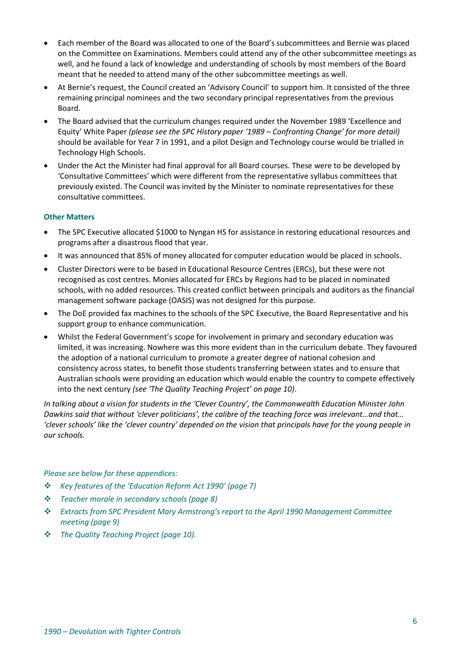- Each member of the Board was allocated to one of the Board's subcommittees and Bernie was placed on the Committee on Examinations. Members could attend any of the other subcommittee meetings as well, and he found a lack of knowledge and understanding of schools by most members of the Board meant that he needed to attend many of the other subcommittee meetings as well.
- At Bernie's request, the Council created an 'Advisory Council' to support him. It consisted of the three remaining principal nominees and the two secondary principal representatives from the previous Board.
- The Board advised that the curriculum changes required under the November 1989 'Excellence and Equity' White Paper *(please see the SPC History paper '1989 – Confronting Change' for more detail)* should be available for Year 7 in 1991, and a pilot Design and Technology course would be trialled in Technology High Schools.
- Under the Act the Minister had final approval for all Board courses. These were to be developed by 'Consultative Committees' which were different from the representative syllabus committees that previously existed. The Council was invited by the Minister to nominate representatives for these consultative committees.

# **Other Matters**

- The SPC Executive allocated \$1000 to Nyngan HS for assistance in restoring educational resources and programs after a disastrous flood that year.
- It was announced that 85% of money allocated for computer education would be placed in schools.
- Cluster Directors were to be based in Educational Resource Centres (ERCs), but these were not recognised as cost centres. Monies allocated for ERCs by Regions had to be placed in nominated schools, with no added resources. This created conflict between principals and auditors as the financial management software package (OASIS) was not designed for this purpose.
- The DoE provided fax machines to the schools of the SPC Executive, the Board Representative and his support group to enhance communication.
- Whilst the Federal Government's scope for involvement in primary and secondary education was limited, it was increasing. Nowhere was this more evident than in the curriculum debate. They favoured the adoption of a national curriculum to promote a greater degree of national cohesion and consistency across states, to benefit those students transferring between states and to ensure that Australian schools were providing an education which would enable the country to compete effectively into the next century *(see 'The Quality Teaching Project' on page 10)*.

*In talking about a vision for students in the 'Clever Country', the Commonwealth Education Minister John Dawkins said that without 'clever politicians', the calibre of the teaching force was irrelevant…and that… 'clever schools' like the 'clever country' depended on the vision that principals have for the young people in our schools.*

## *Please see below for these appendices:*

- ❖ *Key features of the 'Education Reform Act 1990' (page 7)*
- ❖ *Teacher morale in secondary schools (page 8)*
- ❖ *Extracts from SPC President Mary Armstrong's report to the April 1990 Management Committee meeting (page 9)*
- ❖ *The Quality Teaching Project (page 10).*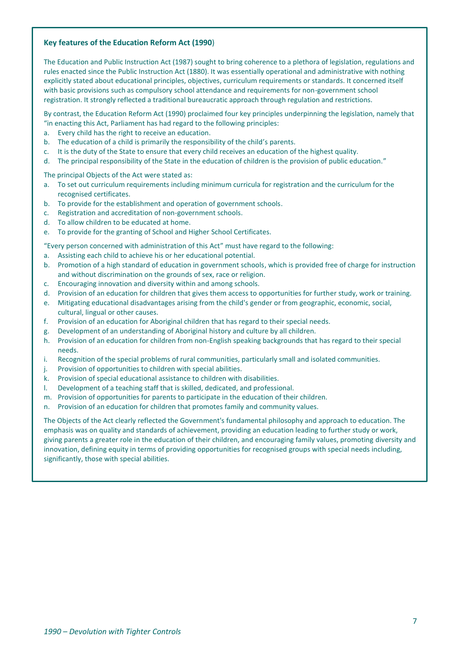#### **Key features of the Education Reform Act (1990**)

The Education and Public Instruction Act (1987) sought to bring coherence to a plethora of legislation, regulations and rules enacted since the Public Instruction Act (1880). It was essentially operational and administrative with nothing explicitly stated about educational principles, objectives, curriculum requirements or standards. It concerned itself with basic provisions such as compulsory school attendance and requirements for non-government school registration. It strongly reflected a traditional bureaucratic approach through regulation and restrictions.

By contrast, the Education Reform Act (1990) proclaimed four key principles underpinning the legislation, namely that "in enacting this Act, Parliament has had regard to the following principles:

- a. Every child has the right to receive an education.
- b. The education of a child is primarily the responsibility of the child's parents.
- c. It is the duty of the State to ensure that every child receives an education of the highest quality.
- d. The principal responsibility of the State in the education of children is the provision of public education."

The principal Objects of the Act were stated as:

- a. To set out curriculum requirements including minimum curricula for registration and the curriculum for the recognised certificates.
- b. To provide for the establishment and operation of government schools.
- c. Registration and accreditation of non-government schools.
- d. To allow children to be educated at home.
- e. To provide for the granting of School and Higher School Certificates.

"Every person concerned with administration of this Act" must have regard to the following:

- a. Assisting each child to achieve his or her educational potential.
- b. Promotion of a high standard of education in government schools, which is provided free of charge for instruction and without discrimination on the grounds of sex, race or religion.
- c. Encouraging innovation and diversity within and among schools.
- d. Provision of an education for children that gives them access to opportunities for further study, work or training.
- e. Mitigating educational disadvantages arising from the child's gender or from geographic, economic, social, cultural, lingual or other causes.
- f. Provision of an education for Aboriginal children that has regard to their special needs.
- g. Development of an understanding of Aboriginal history and culture by all children.
- h. Provision of an education for children from non-English speaking backgrounds that has regard to their special needs.
- i. Recognition of the special problems of rural communities, particularly small and isolated communities.
- j. Provision of opportunities to children with special abilities.
- k. Provision of special educational assistance to children with disabilities.
- l. Development of a teaching staff that is skilled, dedicated, and professional.
- m. Provision of opportunities for parents to participate in the education of their children.
- n. Provision of an education for children that promotes family and community values.

The Objects of the Act clearly reflected the Government's fundamental philosophy and approach to education. The emphasis was on quality and standards of achievement, providing an education leading to further study or work, giving parents a greater role in the education of their children, and encouraging family values, promoting diversity and innovation, defining equity in terms of providing opportunities for recognised groups with special needs including, significantly, those with special abilities.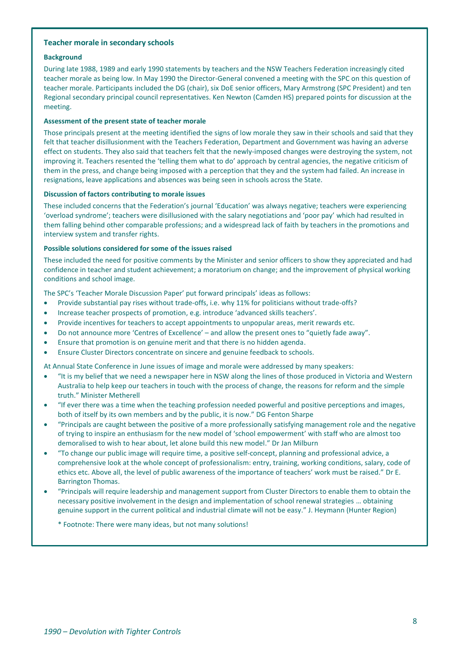#### **Teacher morale in secondary schools**

#### **Background**

During late 1988, 1989 and early 1990 statements by teachers and the NSW Teachers Federation increasingly cited teacher morale as being low. In May 1990 the Director-General convened a meeting with the SPC on this question of teacher morale. Participants included the DG (chair), six DoE senior officers, Mary Armstrong (SPC President) and ten Regional secondary principal council representatives. Ken Newton (Camden HS) prepared points for discussion at the meeting.

#### **Assessment of the present state of teacher morale**

Those principals present at the meeting identified the signs of low morale they saw in their schools and said that they felt that teacher disillusionment with the Teachers Federation, Department and Government was having an adverse effect on students. They also said that teachers felt that the newly-imposed changes were destroying the system, not improving it. Teachers resented the 'telling them what to do' approach by central agencies, the negative criticism of them in the press, and change being imposed with a perception that they and the system had failed. An increase in resignations, leave applications and absences was being seen in schools across the State.

#### **Discussion of factors contributing to morale issues**

These included concerns that the Federation's journal 'Education' was always negative; teachers were experiencing 'overload syndrome'; teachers were disillusioned with the salary negotiations and 'poor pay' which had resulted in them falling behind other comparable professions; and a widespread lack of faith by teachers in the promotions and interview system and transfer rights.

#### **Possible solutions considered for some of the issues raised**

These included the need for positive comments by the Minister and senior officers to show they appreciated and had confidence in teacher and student achievement; a moratorium on change; and the improvement of physical working conditions and school image.

The SPC's 'Teacher Morale Discussion Paper' put forward principals' ideas as follows:

- Provide substantial pay rises without trade-offs, i.e. why 11% for politicians without trade-offs?
- Increase teacher prospects of promotion, e.g. introduce 'advanced skills teachers'.
- Provide incentives for teachers to accept appointments to unpopular areas, merit rewards etc.
- Do not announce more 'Centres of Excellence' and allow the present ones to "quietly fade away".
- Ensure that promotion is on genuine merit and that there is no hidden agenda.
- Ensure Cluster Directors concentrate on sincere and genuine feedback to schools.

At Annual State Conference in June issues of image and morale were addressed by many speakers:

- "It is my belief that we need a newspaper here in NSW along the lines of those produced in Victoria and Western Australia to help keep our teachers in touch with the process of change, the reasons for reform and the simple truth." Minister Metherell
- "If ever there was a time when the teaching profession needed powerful and positive perceptions and images, both of itself by its own members and by the public, it is now." DG Fenton Sharpe
- "Principals are caught between the positive of a more professionally satisfying management role and the negative of trying to inspire an enthusiasm for the new model of 'school empowerment' with staff who are almost too demoralised to wish to hear about, let alone build this new model." Dr Jan Milburn
- "To change our public image will require time, a positive self-concept, planning and professional advice, a comprehensive look at the whole concept of professionalism: entry, training, working conditions, salary, code of ethics etc. Above all, the level of public awareness of the importance of teachers' work must be raised." Dr E. Barrington Thomas.
- "Principals will require leadership and management support from Cluster Directors to enable them to obtain the necessary positive involvement in the design and implementation of school renewal strategies … obtaining genuine support in the current political and industrial climate will not be easy." J. Heymann (Hunter Region)

\* Footnote: There were many ideas, but not many solutions!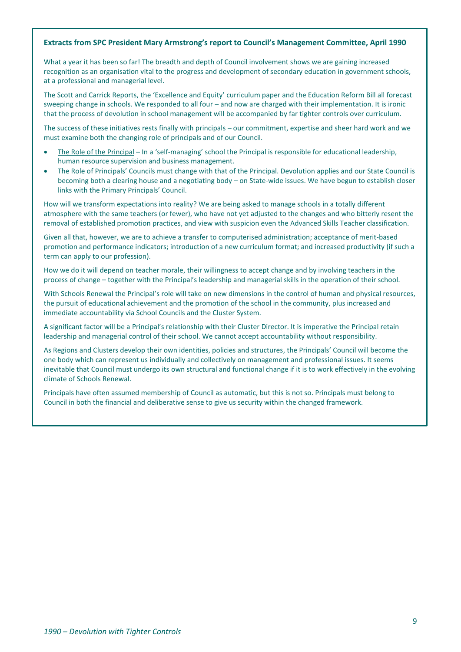#### **Extracts from SPC President Mary Armstrong's report to Council's Management Committee, April 1990**

What a year it has been so far! The breadth and depth of Council involvement shows we are gaining increased recognition as an organisation vital to the progress and development of secondary education in government schools, at a professional and managerial level.

The Scott and Carrick Reports, the 'Excellence and Equity' curriculum paper and the Education Reform Bill all forecast sweeping change in schools. We responded to all four – and now are charged with their implementation. It is ironic that the process of devolution in school management will be accompanied by far tighter controls over curriculum.

The success of these initiatives rests finally with principals – our commitment, expertise and sheer hard work and we must examine both the changing role of principals and of our Council.

- The Role of the Principal In a 'self-managing' school the Principal is responsible for educational leadership, human resource supervision and business management.
- The Role of Principals' Councils must change with that of the Principal. Devolution applies and our State Council is becoming both a clearing house and a negotiating body – on State-wide issues. We have begun to establish closer links with the Primary Principals' Council.

How will we transform expectations into reality? We are being asked to manage schools in a totally different atmosphere with the same teachers (or fewer), who have not yet adjusted to the changes and who bitterly resent the removal of established promotion practices, and view with suspicion even the Advanced Skills Teacher classification.

Given all that, however, we are to achieve a transfer to computerised administration; acceptance of merit-based promotion and performance indicators; introduction of a new curriculum format; and increased productivity (if such a term can apply to our profession).

How we do it will depend on teacher morale, their willingness to accept change and by involving teachers in the process of change – together with the Principal's leadership and managerial skills in the operation of their school.

With Schools Renewal the Principal's role will take on new dimensions in the control of human and physical resources, the pursuit of educational achievement and the promotion of the school in the community, plus increased and immediate accountability via School Councils and the Cluster System.

A significant factor will be a Principal's relationship with their Cluster Director. It is imperative the Principal retain leadership and managerial control of their school. We cannot accept accountability without responsibility.

As Regions and Clusters develop their own identities, policies and structures, the Principals' Council will become the one body which can represent us individually and collectively on management and professional issues. It seems inevitable that Council must undergo its own structural and functional change if it is to work effectively in the evolving climate of Schools Renewal.

Principals have often assumed membership of Council as automatic, but this is not so. Principals must belong to Council in both the financial and deliberative sense to give us security within the changed framework.